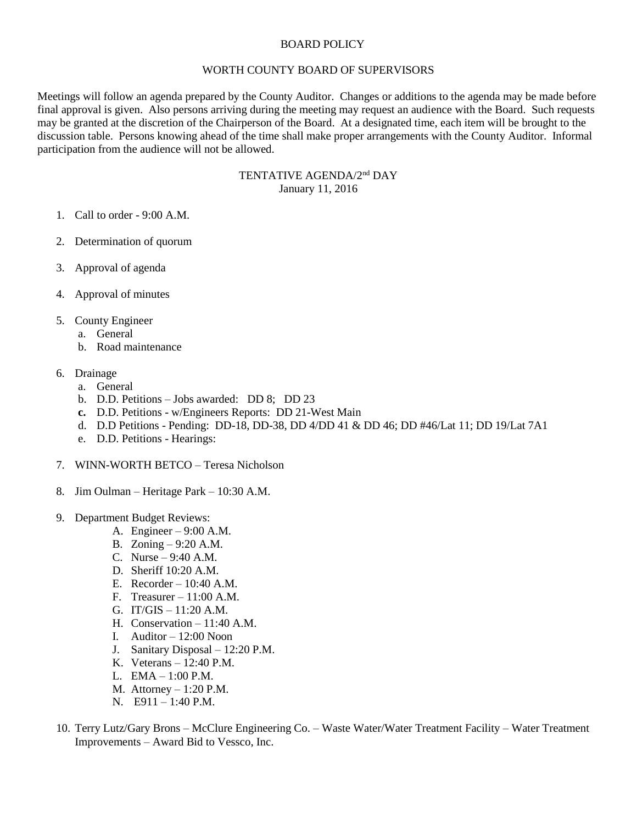## BOARD POLICY

## WORTH COUNTY BOARD OF SUPERVISORS

Meetings will follow an agenda prepared by the County Auditor. Changes or additions to the agenda may be made before final approval is given. Also persons arriving during the meeting may request an audience with the Board. Such requests may be granted at the discretion of the Chairperson of the Board. At a designated time, each item will be brought to the discussion table. Persons knowing ahead of the time shall make proper arrangements with the County Auditor. Informal participation from the audience will not be allowed.

> TENTATIVE AGENDA/2<sup>nd</sup> DAY January 11, 2016

- 1. Call to order 9:00 A.M.
- 2. Determination of quorum
- 3. Approval of agenda
- 4. Approval of minutes
- 5. County Engineer
	- a. General
	- b. Road maintenance
- 6. Drainage
	- a. General
	- b. D.D. Petitions Jobs awarded: DD 8; DD 23
	- **c.** D.D. Petitions w/Engineers Reports: DD 21-West Main
	- d. D.D Petitions Pending: DD-18, DD-38, DD 4/DD 41 & DD 46; DD #46/Lat 11; DD 19/Lat 7A1
	- e. D.D. Petitions Hearings:
- 7. WINN-WORTH BETCO Teresa Nicholson
- 8. Jim Oulman Heritage Park 10:30 A.M.
- 9. Department Budget Reviews:
	- A. Engineer 9:00 A.M.
	- B. Zoning 9:20 A.M.
	- C. Nurse 9:40 A.M.
	- D. Sheriff 10:20 A.M.
	- E. Recorder 10:40 A.M.
	- F. Treasurer 11:00 A.M.
	- G. IT/GIS  $-11:20$  A.M.
	- H. Conservation 11:40 A.M.
	- I. Auditor 12:00 Noon
	- J. Sanitary Disposal 12:20 P.M.
	- K. Veterans 12:40 P.M.
	- L. EMA 1:00 P.M.
	- M. Attorney  $-1:20$  P.M.
	- N. E911 1:40 P.M.
- 10. Terry Lutz/Gary Brons McClure Engineering Co. Waste Water/Water Treatment Facility Water Treatment Improvements – Award Bid to Vessco, Inc.